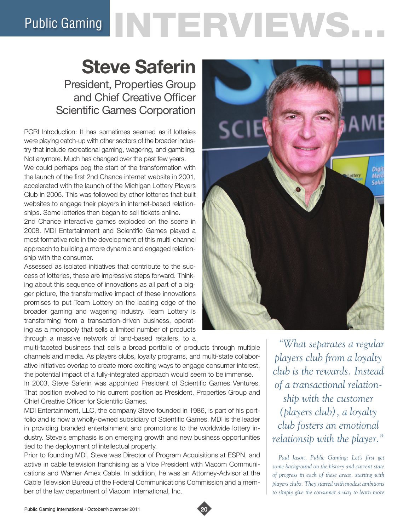# Public Gaming NTERVIEWS.

# **Steve Saferin**

President, Properties Group and Chief Creative Officer Scientific Games Corporation

PGRI Introduction: It has sometimes seemed as if lotteries were playing catch-up with other sectors of the broader industry that include recreational gaming, wagering, and gambling. Not anymore. Much has changed over the past few years. We could perhaps peg the start of the transformation with the launch of the first 2nd Chance internet website in 2001, accelerated with the launch of the Michigan Lottery Players Club in 2005. This was followed by other lotteries that built websites to engage their players in internet-based relationships. Some lotteries then began to sell tickets online.

2nd Chance interactive games exploded on the scene in 2008. MDI Entertainment and Scientific Games played a most formative role in the development of this multi-channel approach to building a more dynamic and engaged relationship with the consumer.

Assessed as isolated initiatives that contribute to the success of lotteries, these are impressive steps forward. Thinking about this sequence of innovations as all part of a bigger picture, the transformative impact of these innovations promises to put Team Lottery on the leading edge of the broader gaming and wagering industry. Team Lottery is transforming from a transaction-driven business, operating as a monopoly that sells a limited number of products through a massive network of land-based retailers, to a



In 2003, Steve Saferin was appointed President of Scientific Games Ventures. That position evolved to his current position as President, Properties Group and Chief Creative Officer for Scientific Games.

MDI Entertainment, LLC, the company Steve founded in 1986, is part of his portfolio and is now a wholly-owned subsidiary of Scientific Games. MDI is the leader in providing branded entertainment and promotions to the worldwide lottery industry. Steve's emphasis is on emerging growth and new business opportunities tied to the deployment of intellectual property.

Prior to founding MDI, Steve was Director of Program Acquisitions at ESPN, and active in cable television franchising as a Vice President with Viacom Communications and Warner Amex Cable. In addition, he was an Attorney-Advisor at the Cable Television Bureau of the Federal Communications Commission and a member of the law department of Viacom International, Inc.



*"What separates a regular players club from a loyalty club is the rewards. Instead of a transactional relationship with the customer (players club), a loyalty club fosters an emotional relationsip with the player."*

*Paul Jason, Public Gaming: Let's first get some background on the history and current state of progress in each of these areas, starting with players clubs. They started with modest ambitions to simply give the consumer a way to learn more* 

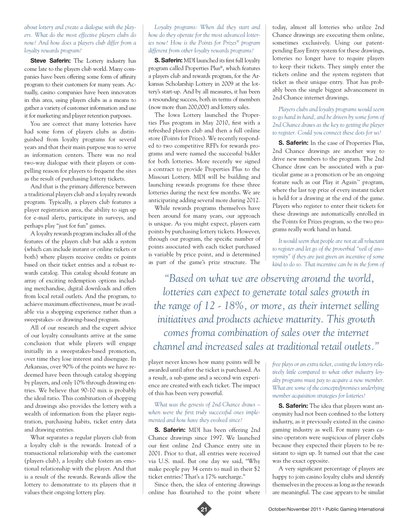# *about lottery and create a dialogue with the players. What do the most effective players clubs do now? And how does a players club differ from a loyalty rewards program?*

**Steve Saferin:** The Lottery industry has come late to the players club world. Many companies have been offering some form of affinity program to their customers for many years. Actually, casino companies have been innovators in this area, using players clubs as a means to gather a variety of customer information and use it for marketing and player retention purposes.

You are correct that many lotteries have had some form of players clubs as distinguished from loyalty programs for several years and that their main purpose was to serve as information centers. There was no real two-way dialogue with their players or compelling reason for players to frequent the sites as the result of purchasing lottery tickets.

And that is the primary difference between a traditional players club and a loyalty rewards program. Typically, a players club features a player registration area, the ability to sign up for e-mail alerts, participate in surveys, and perhaps play "just for fun" games.

A loyalty rewards program includes all of the features of the players club but adds a system (which can include instant or online tickets or both) where players receive credits or points based on their ticket entries and a robust rewards catalog. This catalog should feature an array of exciting redemption options including merchandise, digital downloads and offers from local retail outlets. And the program, to achieve maximum effectiveness, must be available via a shopping experience rather than a sweepstakes- or drawing-based program.

All of our research and the expert advice of our loyalty consultants arrive at the same conclusion that while players will engage initially in a sweepstakes-based promotion, over time they lose interest and disengage. In Arkansas, over 90% of the points we have redeemed have been through catalog shopping by players, and only 10% through drawing entries. We believe that 90-10 mix is probably the ideal ratio. This combination of shopping and drawings also provides the lottery with a wealth of information from the player registration, purchasing habits, ticket entry data and drawing entries.

What separates a regular players club from a loyalty club is the rewards. Instead of a transactional relationship with the customer (players club), a loyalty club fosters an emotional relationship with the player. And that is a result of the rewards. Rewards allow the lottery to demonstrate to its players that it values their ongoing lottery play.

#### *Loyalty programs: When did they start and how do they operate for the most advanced lotteries now? How is the Points for Prizes® program different from other loyalty rewards programs?*

**S. Saferin:** MDI launched its first full loyalty program called Properties Plus®, which features a players club and rewards program, for the Arkansas Scholarship Lottery in 2009 at the lottery's start-up. And by all measures, it has been a resounding success, both in terms of members (now more than 200,000) and lottery sales.

The Iowa Lottery launched the Properties Plus program in May 2010, first with a refreshed players club and then a full online store (Points for Prizes). We recently responded to two competitive RFPs for rewards programs and were named the successful bidder for both lotteries. More recently we signed a contract to provide Properties Plus to the Missouri Lottery. MDI will be building and launching rewards programs for these three lotteries during the next few months. We are anticipating adding several more during 2012.

While rewards programs themselves have been around for many years, our approach is unique. As you might expect, players earn points by purchasing lottery tickets. However, through our program, the specific number of points associated with each ticket purchased is variable by price point, and is determined as part of the game's prize structure. The

today, almost all lotteries who utilize 2nd Chance drawings are executing them online, sometimes exclusively. Using our patentpending Easy Entry system for these drawings, lotteries no longer have to require players to keep their tickets. They simply enter the tickets online and the system registers that ticket as their unique entry. That has probably been the single biggest advancement in 2nd Chance internet drawings.

## *Players clubs and loyalty programs would seem to go hand in hand, and be driven by some form of 2nd Chance draws as the key to getting the player to register. Could you connect these dots for us?*

**S. Saferin:** In the case of Properties Plus, 2nd Chance drawings are another way to drive new members to the program. The 2nd Chance draw can be associated with a particular game as a promotion or be an ongoing feature such as our Play it Again™ program, where the last top prize of every instant ticket is held for a drawing at the end of the game. Players who register to enter their tickets for these drawings are automatically enrolled in the Points for Prizes program, so the two programs really work hand in hand.

*It would seem that people are not at all reluctant to register and let go of the proverbial "veil of anonymity" if they are just given an incentive of some kind to do so. That incentive can be in the form of* 

*"Based on what we are observing around the world, lotteries can expect to generate total sales growth in the range of 12 - 18%, or more, as their internet selling initiatives and products achieve maturity. This growth comes froma combination of sales over the internet channel and increased sales at traditional retail outlets."*

player never knows how many points will be awarded until after the ticket is purchased. As a result, a sub-game and a second win experience are created with each ticket. The impact of this has been very powerful.

## *What was the genesis of 2nd Chance draws – when were the first truly successful ones implemented and how have they evolved since?*

**S. Saferin:** MDI has been offering 2nd Chance drawings since 1997. We launched our first online 2nd Chance entry site in 2001. Prior to that, all entries were received via U.S. mail. But one day we said, "Why make people pay 34 cents to mail in their \$2 ticket entries? That's a 17% surcharge."

Since then, the idea of entering drawings online has flourished to the point where

*free plays or an extra ticket, costing the lottery relatively little compared to what other industry loyalty programs must pay to acquire a new member. What are some of the concepts/premises underlying member acquisition strategies for lotteries?* 

**S. Saferin:** The idea that players want anonymity had not been confined to the lottery industry, as it previously existed in the casino gaming industry as well. For many years casino operators were suspicious of player clubs because they expected their players to be resistant to sign up. It turned out that the case was the exact opposite.

A very significant percentage of players are happy to join casino loyalty clubs and identify themselves in the process as long as the rewards are meaningful. The case appears to be similar